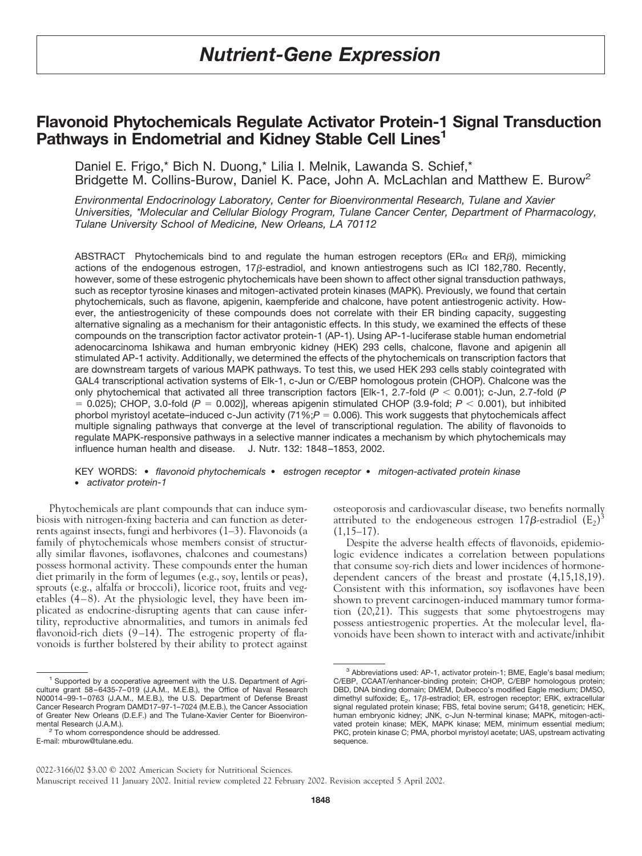# *Nutrient-Gene Expression*

# **Flavonoid Phytochemicals Regulate Activator Protein-1 Signal Transduction Pathways in Endometrial and Kidney Stable Cell Lines<sup>1</sup>**

Daniel E. Frigo,\* Bich N. Duong,\* Lilia I. Melnik, Lawanda S. Schief,\* Bridgette M. Collins-Burow, Daniel K. Pace, John A. McLachlan and Matthew E. Burow<sup>2</sup>

*Environmental Endocrinology Laboratory, Center for Bioenvironmental Research, Tulane and Xavier Universities, \*Molecular and Cellular Biology Program, Tulane Cancer Center, Department of Pharmacology, Tulane University School of Medicine, New Orleans, LA 70112*

ABSTRACT Phytochemicals bind to and regulate the human estrogen receptors ( $ER\alpha$  and  $ER\beta$ ), mimicking actions of the endogenous estrogen,  $17\beta$ -estradiol, and known antiestrogens such as ICI 182,780. Recently, however, some of these estrogenic phytochemicals have been shown to affect other signal transduction pathways, such as receptor tyrosine kinases and mitogen-activated protein kinases (MAPK). Previously, we found that certain phytochemicals, such as flavone, apigenin, kaempferide and chalcone, have potent antiestrogenic activity. However, the antiestrogenicity of these compounds does not correlate with their ER binding capacity, suggesting alternative signaling as a mechanism for their antagonistic effects. In this study, we examined the effects of these compounds on the transcription factor activator protein-1 (AP-1). Using AP-1-luciferase stable human endometrial adenocarcinoma Ishikawa and human embryonic kidney (HEK) 293 cells, chalcone, flavone and apigenin all stimulated AP-1 activity. Additionally, we determined the effects of the phytochemicals on transcription factors that are downstream targets of various MAPK pathways. To test this, we used HEK 293 cells stably cointegrated with GAL4 transcriptional activation systems of Elk-1, c-Jun or C/EBP homologous protein (CHOP). Chalcone was the only phytochemical that activated all three transcription factors [Elk-1, 2.7-fold  $(P < 0.001)$ ; c-Jun, 2.7-fold  $(P$  $= 0.025$ ; CHOP, 3.0-fold ( $P = 0.002$ )], whereas apigenin stimulated CHOP (3.9-fold;  $P < 0.001$ ), but inhibited phorbol myristoyl acetate–induced c-Jun activity  $(71\%;P = 0.006)$ . This work suggests that phytochemicals affect multiple signaling pathways that converge at the level of transcriptional regulation. The ability of flavonoids to regulate MAPK-responsive pathways in a selective manner indicates a mechanism by which phytochemicals may influence human health and disease. J. Nutr. 132: 1848–1853, 2002.

KEY WORDS: ● *flavonoid phytochemicals* ● *estrogen receptor* ● *mitogen-activated protein kinase* ● *activator protein-1*

Phytochemicals are plant compounds that can induce symbiosis with nitrogen-fixing bacteria and can function as deterrents against insects, fungi and herbivores (1–3). Flavonoids (a family of phytochemicals whose members consist of structurally similar flavones, isoflavones, chalcones and coumestans) possess hormonal activity. These compounds enter the human diet primarily in the form of legumes (e.g., soy, lentils or peas), sprouts (e.g., alfalfa or broccoli), licorice root, fruits and vegetables (4–8). At the physiologic level, they have been implicated as endocrine-disrupting agents that can cause infertility, reproductive abnormalities, and tumors in animals fed flavonoid-rich diets (9–14). The estrogenic property of flavonoids is further bolstered by their ability to protect against osteoporosis and cardiovascular disease, two benefits normally attributed to the endogeneous estrogen  $17\beta$ -estradiol  $(E_2)^3$  $(1,15-17)$ .

Despite the adverse health effects of flavonoids, epidemiologic evidence indicates a correlation between populations that consume soy-rich diets and lower incidences of hormonedependent cancers of the breast and prostate (4,15,18,19). Consistent with this information, soy isoflavones have been shown to prevent carcinogen-induced mammary tumor formation  $(20,\overline{2}1)$ . This suggests that some phytoestrogens may possess antiestrogenic properties. At the molecular level, flavonoids have been shown to interact with and activate/inhibit

<sup>1</sup> Supported by a cooperative agreement with the U.S. Department of Agriculture grant 58–6435-7–019 (J.A.M., M.E.B.), the Office of Naval Research N00014–99-1–0763 (J.A.M., M.E.B.), the U.S. Department of Defense Breast Cancer Research Program DAMD17–97-1–7024 (M.E.B.), the Cancer Association of Greater New Orleans (D.E.F.) and The Tulane-Xavier Center for Bioenviron-<br>mental Research (J.A.M.).

<sup>&</sup>lt;sup>2</sup> To whom correspondence should be addressed. E-mail: mburow@tulane.edu.

<sup>3</sup> Abbreviations used: AP-1, activator protein-1; BME, Eagle's basal medium; C/EBP, CCAAT/enhancer-binding protein; CHOP, C/EBP homologous protein; DBD, DNA binding domain; DMEM, Dulbecco's modified Eagle medium; DMSO, dimethyl sulfoxide; E<sub>2</sub>, 17 $\beta$ -estradiol; ER, estrogen receptor; ERK, extracellular signal regulated protein kinase; FBS, fetal bovine serum; G418, geneticin; HEK, human embryonic kidney; JNK, c-Jun N-terminal kinase; MAPK, mitogen-activated protein kinase; MEK, MAPK kinase; MEM, minimum essential medium; PKC, protein kinase C; PMA, phorbol myristoyl acetate; UAS, upstream activating sequence.

<sup>0022-3166/02</sup> \$3.00 © 2002 American Society for Nutritional Sciences. Manuscript received 11 January 2002. Initial review completed 22 February 2002. Revision accepted 5 April 2002.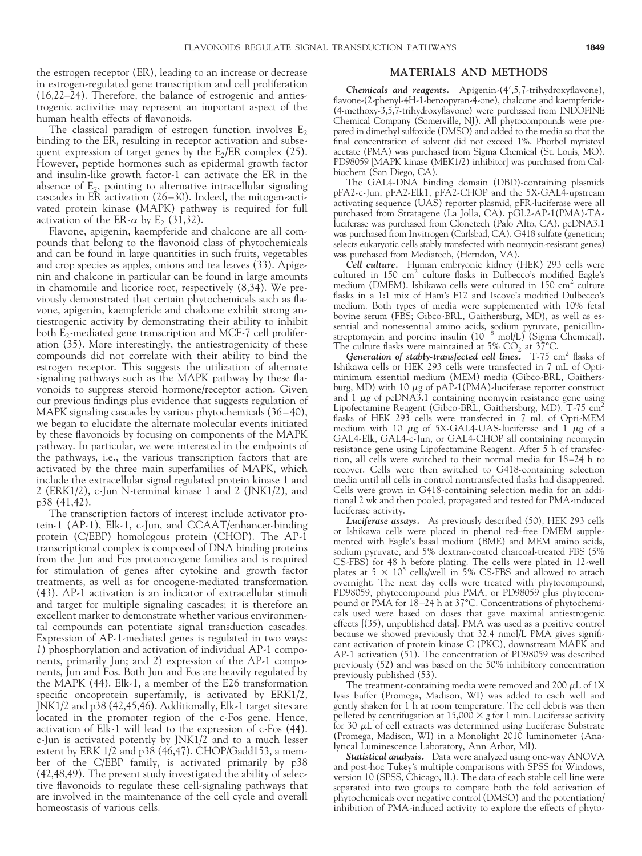the estrogen receptor (ER), leading to an increase or decrease in estrogen-regulated gene transcription and cell proliferation (16,22–24). Therefore, the balance of estrogenic and antiestrogenic activities may represent an important aspect of the human health effects of flavonoids.

The classical paradigm of estrogen function involves  $E_2$ binding to the ER, resulting in receptor activation and subsequent expression of target genes by the  $E_2/ER$  complex (25). However, peptide hormones such as epidermal growth factor and insulin-like growth factor-1 can activate the ER in the absence of  $E_2$ , pointing to alternative intracellular signaling cascades in ER activation (26–30). Indeed, the mitogen-activated protein kinase (MAPK) pathway is required for full activation of the ER- $\alpha$  by E<sub>2</sub> (31,32).

Flavone, apigenin, kaempferide and chalcone are all compounds that belong to the flavonoid class of phytochemicals and can be found in large quantities in such fruits, vegetables and crop species as apples, onions and tea leaves (33). Apigenin and chalcone in particular can be found in large amounts in chamomile and licorice root, respectively (8,34). We previously demonstrated that certain phytochemicals such as flavone, apigenin, kaempferide and chalcone exhibit strong antiestrogenic activity by demonstrating their ability to inhibit both  $E_2$ -mediated gene transcription and MCF-7 cell proliferation (35). More interestingly, the antiestrogenicity of these compounds did not correlate with their ability to bind the estrogen receptor. This suggests the utilization of alternate signaling pathways such as the MAPK pathway by these flavonoids to suppress steroid hormone/receptor action. Given our previous findings plus evidence that suggests regulation of MAPK signaling cascades by various phytochemicals (36–40), we began to elucidate the alternate molecular events initiated by these flavonoids by focusing on components of the MAPK pathway. In particular, we were interested in the endpoints of the pathways, i.e., the various transcription factors that are activated by the three main superfamilies of MAPK, which include the extracellular signal regulated protein kinase 1 and 2 (ERK1/2), c-Jun N-terminal kinase 1 and 2 (JNK1/2), and p38 (41,42).

The transcription factors of interest include activator protein-1 (AP-1), Elk-1, c-Jun, and CCAAT/enhancer-binding protein (C/EBP) homologous protein (CHOP). The AP-1 transcriptional complex is composed of DNA binding proteins from the Jun and Fos protooncogene families and is required for stimulation of genes after cytokine and growth factor treatments, as well as for oncogene-mediated transformation (43). AP-1 activation is an indicator of extracellular stimuli and target for multiple signaling cascades; it is therefore an excellent marker to demonstrate whether various environmental compounds can potentiate signal transduction cascades. Expression of AP-1-mediated genes is regulated in two ways: *1*) phosphorylation and activation of individual AP-1 components, primarily Jun; and *2*) expression of the AP-1 components, Jun and Fos. Both Jun and Fos are heavily regulated by the MAPK (44). Elk-1, a member of the E26 transformation specific oncoprotein superfamily, is activated by ERK1/2, JNK1/2 and p38 (42,45,46). Additionally, Elk-1 target sites are located in the promoter region of the c-Fos gene. Hence, activation of Elk-1 will lead to the expression of c-Fos (44). c-Jun is activated potently by JNK1/2 and to a much lesser extent by ERK 1/2 and p38 (46,47). CHOP/Gadd153, a member of the C/EBP family, is activated primarily by p38 (42,48,49). The present study investigated the ability of selective flavonoids to regulate these cell-signaling pathways that are involved in the maintenance of the cell cycle and overall homeostasis of various cells.

#### **MATERIALS AND METHODS**

**Chemicals** and **reagents.** Apigenin-(4',5,7-trihydroxyflavone), flavone-(2-phenyl-4H-1-benzopyran-4-one), chalcone and kaempferide- (4-methoxy-3,5,7-trihydroxyflavone) were purchased from INDOFINE Chemical Company (Somerville, NJ). All phytocompounds were prepared in dimethyl sulfoxide (DMSO) and added to the media so that the final concentration of solvent did not exceed 1%. Phorbol myristoyl acetate (PMA) was purchased from Sigma Chemical (St. Louis, MO). PD98059 [MAPK kinase (MEK1/2) inhibitor] was purchased from Calbiochem (San Diego, CA).

The GAL4-DNA binding domain (DBD)-containing plasmids pFA2-c-Jun, pFA2-Elk1, pFA2-CHOP and the 5X-GAL4-upstream activating sequence (UAS) reporter plasmid, pFR-luciferase were all purchased from Stratagene (La Jolla, CA). pGL2-AP-1(PMA)-TAluciferase was purchased from Clonetech (Palo Alto, CA). pcDNA3.1 was purchased from Invitrogen (Carlsbad, CA). G418 sulfate (geneticin; selects eukaryotic cells stably transfected with neomycin-resistant genes) was purchased from Mediatech, (Herndon, VA).

*Cell culture.* Human embryonic kidney (HEK) 293 cells were cultured in 150 cm<sup>2</sup> culture flasks in Dulbecco's modified Eagle's medium (DMEM). Ishikawa cells were cultured in 150 cm<sup>2</sup> culture flasks in a 1:1 mix of Ham's F12 and Iscove's modified Dulbecco's medium. Both types of media were supplemented with 10% fetal bovine serum (FBS; Gibco-BRL, Gaithersburg, MD), as well as essential and nonessential amino acids, sodium pyruvate, penicillin-<br>streptomycin and porcine insulin (10<sup>-8</sup> mol/L) (Sigma Chemical). The culture flasks were maintained at 5%  $CO_2$  at 37°C.

*Generation* of *stably-transfected cell lines.* T-75 cm<sup>2</sup> flasks of Ishikawa cells or HEK 293 cells were transfected in 7 mL of Optiminimum essential medium (MEM) media (Gibco-BRL, Gaithersburg, MD) with 10  $\mu$ g of pAP-1(PMA)-luciferase reporter construct and  $1 \mu$ g of pcDNA3.1 containing neomycin resistance gene using Lipofectamine Reagent (Gibco-BRL, Gaithersburg, MD). T-75 cm<sup>2</sup> flasks of HEK 293 cells were transfected in 7 mL of Opti-MEM medium with 10  $\mu$ g of 5X-GAL4-UAS-luciferase and 1  $\mu$ g of a GAL4-Elk, GAL4-c-Jun, or GAL4-CHOP all containing neomycin resistance gene using Lipofectamine Reagent. After 5 h of transfection, all cells were switched to their normal media for 18–24 h to recover. Cells were then switched to G418-containing selection media until all cells in control nontransfected flasks had disappeared. Cells were grown in G418-containing selection media for an additional 2 wk and then pooled, propagated and tested for PMA-induced luciferase activity.

*Luciferase assays.* As previously described (50), HEK 293 cells or Ishikawa cells were placed in phenol red–free DMEM supplemented with Eagle's basal medium (BME) and MEM amino acids, sodium pyruvate, and 5% dextran-coated charcoal-treated FBS (5% CS-FBS) for 48 h before plating. The cells were plated in 12-well plates at  $5 \times 10^5$  cells/well in  $\overline{5\%}$  CS-FBS and allowed to attach overnight. The next day cells were treated with phytocompound, PD98059, phytocompound plus PMA, or PD98059 plus phytocompound or PMA for 18–24 h at 37°C. Concentrations of phytochemicals used were based on doses that gave maximal antiestrogenic effects [(35), unpublished data]. PMA was used as a positive control because we showed previously that 32.4 nmol/L PMA gives significant activation of protein kinase C (PKC), downstream MAPK and AP-1 activation (51). The concentration of PD98059 was described previously (52) and was based on the 50% inhibitory concentration previously published (53).

The treatment-containing media were removed and 200  $\mu$ L of 1X lysis buffer (Promega, Madison, WI) was added to each well and gently shaken for 1 h at room temperature. The cell debris was then pelleted by centrifugation at  $15,000 \times g$  for 1 min. Luciferase activity for 30  $\mu$ L of cell extracts was determined using Luciferase Substrate (Promega, Madison, WI) in a Monolight 2010 luminometer (Analytical Luminescence Laboratory, Ann Arbor, MI).

*Statistical analysis.* Data were analyzed using one-way ANOVA and post-hoc Tukey's multiple comparisons with SPSS for Windows, version 10 (SPSS, Chicago, IL). The data of each stable cell line were separated into two groups to compare both the fold activation of phytochemicals over negative control (DMSO) and the potentiation/ inhibition of PMA-induced activity to explore the effects of phyto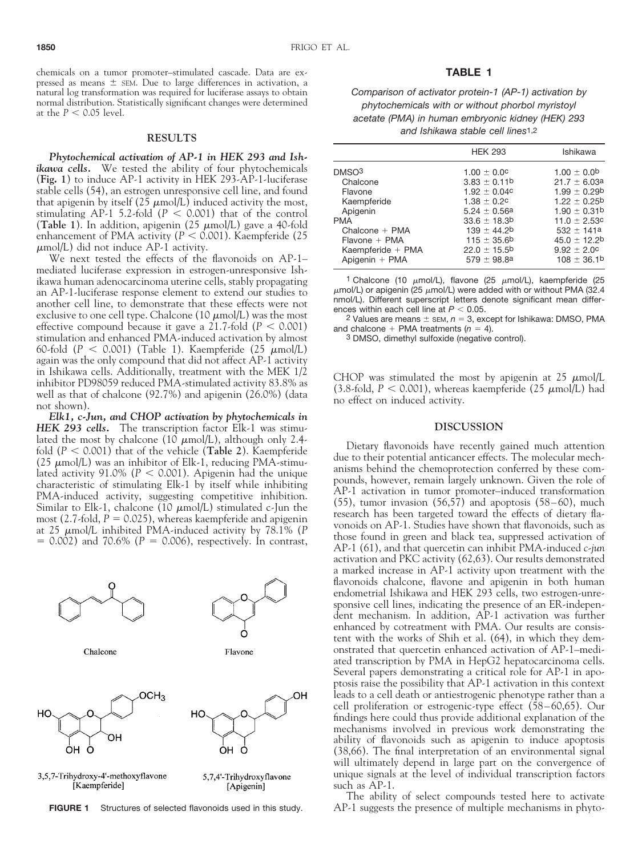chemicals on a tumor promoter–stimulated cascade. Data are expressed as means  $\pm$  SEM. Due to large differences in activation, a natural log transformation was required for luciferase assays to obtain normal distribution. Statistically significant changes were determined at the  $P < 0.05$  level.

#### **RESULTS**

*Phytochemical activation of AP-1 in HEK 293 and Ishikawa cells.* We tested the ability of four phytochemicals (**Fig. 1**) to induce AP-1 activity in HEK 293-AP-1-luciferase stable cells (54), an estrogen unresponsive cell line, and found that apigenin by itself (25  $\mu$ mol/L) induced activity the most, stimulating AP-1 5.2-fold  $(P < 0.001)$  that of the control (Table 1). In addition, apigenin  $(25 \mu \text{mol/L})$  gave a 40-fold enhancement of PMA activity ( $P < 0.001$ ). Kaempferide (25)  $\mu$ mol/L) did not induce AP-1 activity.

We next tested the effects of the flavonoids on AP-1– mediated luciferase expression in estrogen-unresponsive Ishikawa human adenocarcinoma uterine cells, stably propagating an AP-1-luciferase response element to extend our studies to another cell line, to demonstrate that these effects were not exclusive to one cell type. Chalcone (10  $\mu$ mol/L) was the most effective compound because it gave a 21.7-fold ( $P < 0.001$ ) stimulation and enhanced PMA-induced activation by almost 60-fold  $(P < 0.001)$  (Table 1). Kaempferide (25  $\mu$ mol/L) again was the only compound that did not affect AP-1 activity in Ishikawa cells. Additionally, treatment with the MEK 1/2 inhibitor PD98059 reduced PMA-stimulated activity 83.8% as well as that of chalcone (92.7%) and apigenin (26.0%) (data not shown).

*Elk1, c-Jun, and CHOP activation by phytochemicals in HEK 293 cells.* The transcription factor Elk-1 was stimulated the most by chalcone (10  $\mu$ mol/L), although only 2.4fold  $(P < 0.001)$  that of the vehicle (**Table 2**). Kaempferide (25  $\mu$ mol/L) was an inhibitor of Elk-1, reducing PMA-stimulated activity  $91.0\%$  ( $P < 0.001$ ). Apigenin had the unique characteristic of stimulating Elk-1 by itself while inhibiting PMA-induced activity, suggesting competitive inhibition. Similar to Elk-1, chalcone (10  $\mu$ mol/L) stimulated c-Jun the most (2.7-fold,  $P = 0.025$ ), whereas kaempferide and apigenin at 25  $\mu$ mol/L inhibited PMA-induced activity by 78.1% (P  $= 0.002$ ) and 70.6% ( $P = 0.006$ ), respectively. In contrast,



**FIGURE 1** Structures of selected flavonoids used in this study.

## **TABLE 1**

*Comparison of activator protein-1 (AP-1) activation by phytochemicals with or without phorbol myristoyl acetate (PMA) in human embryonic kidney (HEK) 293 and Ishikawa stable cell lines*1,2

|                   | <b>HEK 293</b>    | Ishikawa          |
|-------------------|-------------------|-------------------|
| DMSO <sup>3</sup> | $1.00 \pm 0.0$ c  | $1.00 \pm 0.0$    |
| Chalcone          | $3.83 \pm 0.11$ b | $21.7 \pm 6.03a$  |
| Flavone           | $1.92 \pm 0.04c$  | $1.99 \pm 0.29$   |
| Kaempferide       | $1.38 \pm 0.2c$   | $1.22 \pm 0.25$   |
| Apigenin          | $5.24 \pm 0.56a$  | $1.90 \pm 0.31$ b |
| <b>PMA</b>        | $33.6 \pm 18.3$ b | $11.0 \pm 2.53c$  |
| Chalcone $+$ PMA  | $139 \pm 44.2$    | $532 \pm 141a$    |
| $Flavone + PMA$   | $115 \pm 35.6$ b  | $45.0 \pm 12.2$ b |
| Kaempferide + PMA | $22.0 \pm 15.5$ b | $9.92 \pm 2.0$ c  |
| Apigenin + PMA    | $579 \pm 98.8a$   | $108 \pm 36.1$ b  |

1 Chalcone (10  $\mu$ mol/L), flavone (25  $\mu$ mol/L), kaempferide (25  $\mu$ mol/L) or apigenin (25  $\mu$ mol/L) were added with or without PMA (32.4 nmol/L). Different superscript letters denote significant mean differences within each cell line at  $P < 0.05$ .

<sup>2</sup> Values are means  $\pm$  sEM,  $n = 3$ , except for Ishikawa: DMSO, PMA and chalcone  $+$  PMA treatments ( $n = 4$ ).

3 DMSO, dimethyl sulfoxide (negative control).

CHOP was stimulated the most by apigenin at 25  $\mu$ mol/L (3.8-fold,  $P < 0.001$ ), whereas kaempferide (25  $\mu$ mol/L) had no effect on induced activity.

#### **DISCUSSION**

Dietary flavonoids have recently gained much attention due to their potential anticancer effects. The molecular mechanisms behind the chemoprotection conferred by these compounds, however, remain largely unknown. Given the role of AP-1 activation in tumor promoter–induced transformation (55), tumor invasion (56,57) and apoptosis (58–60), much research has been targeted toward the effects of dietary flavonoids on AP-1. Studies have shown that flavonoids, such as those found in green and black tea, suppressed activation of AP-1 (61), and that quercetin can inhibit PMA-induced *c-jun* activation and PKC activity (62,63). Our results demonstrated a marked increase in AP-1 activity upon treatment with the flavonoids chalcone, flavone and apigenin in both human endometrial Ishikawa and HEK 293 cells, two estrogen-unresponsive cell lines, indicating the presence of an ER-independent mechanism. In addition, AP-1 activation was further enhanced by cotreatment with PMA. Our results are consistent with the works of Shih et al. (64), in which they demonstrated that quercetin enhanced activation of AP-1–mediated transcription by PMA in HepG2 hepatocarcinoma cells. Several papers demonstrating a critical role for AP-1 in apoptosis raise the possibility that AP-1 activation in this context leads to a cell death or antiestrogenic phenotype rather than a cell proliferation or estrogenic-type effect (58–60,65). Our findings here could thus provide additional explanation of the mechanisms involved in previous work demonstrating the ability of flavonoids such as apigenin to induce apoptosis (38,66). The final interpretation of an environmental signal will ultimately depend in large part on the convergence of unique signals at the level of individual transcription factors such as AP-1.

The ability of select compounds tested here to activate AP-1 suggests the presence of multiple mechanisms in phyto-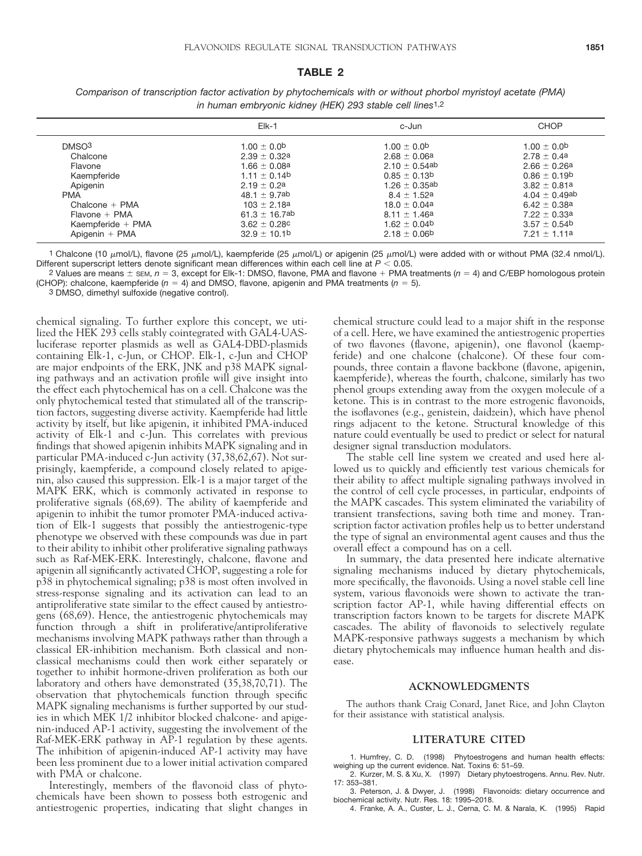#### **TABLE 2**

|                   | $E$ k-1                     | c-Jun              | CHOP                         |
|-------------------|-----------------------------|--------------------|------------------------------|
| DMSO <sup>3</sup> | $1.00 \pm 0.0$ <sup>b</sup> | $1.00 + 0.0$       | $1.00 \pm 0.0$ <sup>b</sup>  |
| Chalcone          | $2.39 + 0.32a$              | $2.68 \pm 0.06a$   | $2.78 + 0.4a$                |
| Flavone           | $1.66 \pm 0.08a$            | $2.10 \pm 0.54$ ab | $2.66 \pm 0.26a$             |
| Kaempferide       | $1.11 \pm 0.14$             | $0.85 \pm 0.13$ b  | $0.86 \pm 0.19$ <sup>b</sup> |
| Apigenin          | $2.19 + 0.2a$               | $1.26 \pm 0.35$ ab | $3.82 + 0.81a$               |
| <b>PMA</b>        | $48.1 + 9.7ab$              | $8.4 + 1.52a$      | $4.04 \pm 0.49$ ab           |
| Chalcone $+$ PMA  | $103 \pm 2.18a$             | $18.0 \pm 0.04a$   | $6.42 + 0.38a$               |
| $Flavone + PMA$   | 61.3 $\pm$ 16.7ab           | $8.11 \pm 1.46a$   | $7.22 \pm 0.33a$             |
| Kaempferide + PMA | $3.62 \pm 0.28$ c           | $1.62 \pm 0.04$    | $3.57 \pm 0.54$              |
| Apigenin $+$ PMA  | $32.9 \pm 10.1$             | $2.18 \pm 0.06$    | $7.21 \pm 1.11a$             |

*Comparison of transcription factor activation by phytochemicals with or without phorbol myristoyl acetate (PMA) in human embryonic kidney (HEK) 293 stable cell lines*1,2

1 Chalcone (10  $\mu$ mol/L), flavone (25  $\mu$ mol/L), kaempferide (25  $\mu$ mol/L) or apigenin (25  $\mu$ mol/L) were added with or without PMA (32.4 nmol/L). Different superscript letters denote significant mean differences within each cell line at  $P < 0.05$ .

 $2$  Values are means  $\pm$  sEM,  $n = 3$ , except for Elk-1: DMSO, flavone, PMA and flavone + PMA treatments ( $n = 4$ ) and C/EBP homologous protein (CHOP): chalcone, kaempferide  $(n = 4)$  and DMSO, flavone, apigenin and PMA treatments  $(n = 5)$ .

3 DMSO, dimethyl sulfoxide (negative control).

chemical signaling. To further explore this concept, we utilized the HEK 293 cells stably cointegrated with GAL4-UASluciferase reporter plasmids as well as GAL4-DBD-plasmids containing Elk-1, c-Jun, or CHOP. Elk-1, c-Jun and CHOP are major endpoints of the ERK, JNK and p38 MAPK signaling pathways and an activation profile will give insight into the effect each phytochemical has on a cell. Chalcone was the only phytochemical tested that stimulated all of the transcription factors, suggesting diverse activity. Kaempferide had little activity by itself, but like apigenin, it inhibited PMA-induced activity of Elk-1 and c-Jun. This correlates with previous findings that showed apigenin inhibits MAPK signaling and in particular PMA-induced c-Jun activity (37,38,62,67). Not surprisingly, kaempferide, a compound closely related to apigenin, also caused this suppression. Elk-1 is a major target of the MAPK ERK, which is commonly activated in response to proliferative signals (68,69). The ability of kaempferide and apigenin to inhibit the tumor promoter PMA-induced activation of Elk-1 suggests that possibly the antiestrogenic-type phenotype we observed with these compounds was due in part to their ability to inhibit other proliferative signaling pathways such as Raf-MEK-ERK. Interestingly, chalcone, flavone and apigenin all significantly activated CHOP, suggesting a role for p38 in phytochemical signaling; p38 is most often involved in stress-response signaling and its activation can lead to an antiproliferative state similar to the effect caused by antiestrogens (68,69). Hence, the antiestrogenic phytochemicals may function through a shift in proliferative/antiproliferative mechanisms involving MAPK pathways rather than through a classical ER-inhibition mechanism. Both classical and nonclassical mechanisms could then work either separately or together to inhibit hormone-driven proliferation as both our laboratory and others have demonstrated (35,38,70,71). The observation that phytochemicals function through specific MAPK signaling mechanisms is further supported by our studies in which MEK 1/2 inhibitor blocked chalcone- and apigenin-induced AP-1 activity, suggesting the involvement of the Raf-MEK-ERK pathway in AP-1 regulation by these agents. The inhibition of apigenin-induced AP-1 activity may have been less prominent due to a lower initial activation compared with PMA or chalcone.

Interestingly, members of the flavonoid class of phytochemicals have been shown to possess both estrogenic and antiestrogenic properties, indicating that slight changes in chemical structure could lead to a major shift in the response of a cell. Here, we have examined the antiestrogenic properties of two flavones (flavone, apigenin), one flavonol (kaempferide) and one chalcone (chalcone). Of these four compounds, three contain a flavone backbone (flavone, apigenin, kaempferide), whereas the fourth, chalcone, similarly has two phenol groups extending away from the oxygen molecule of a ketone. This is in contrast to the more estrogenic flavonoids, the isoflavones (e.g., genistein, daidzein), which have phenol rings adjacent to the ketone. Structural knowledge of this nature could eventually be used to predict or select for natural designer signal transduction modulators.

The stable cell line system we created and used here allowed us to quickly and efficiently test various chemicals for their ability to affect multiple signaling pathways involved in the control of cell cycle processes, in particular, endpoints of the MAPK cascades. This system eliminated the variability of transient transfections, saving both time and money. Transcription factor activation profiles help us to better understand the type of signal an environmental agent causes and thus the overall effect a compound has on a cell.

In summary, the data presented here indicate alternative signaling mechanisms induced by dietary phytochemicals, more specifically, the flavonoids. Using a novel stable cell line system, various flavonoids were shown to activate the transcription factor AP-1, while having differential effects on transcription factors known to be targets for discrete MAPK cascades. The ability of flavonoids to selectively regulate MAPK-responsive pathways suggests a mechanism by which dietary phytochemicals may influence human health and disease.

### **ACKNOWLEDGMENTS**

The authors thank Craig Conard, Janet Rice, and John Clayton for their assistance with statistical analysis.

# **LITERATURE CITED**

1. Humfrey, C. D. (1998) Phytoestrogens and human health effects: weighing up the current evidence. Nat. Toxins 6: 51–59. 2. Kurzer, M. S. & Xu, X. (1997) Dietary phytoestrogens. Annu. Rev. Nutr.

17: 353–381. 3. Peterson, J. & Dwyer, J. (1998) Flavonoids: dietary occurrence and

biochemical activity. Nutr. Res. 18: 1995–2018.

4. Franke, A. A., Custer, L. J., Cerna, C. M. & Narala, K. (1995) Rapid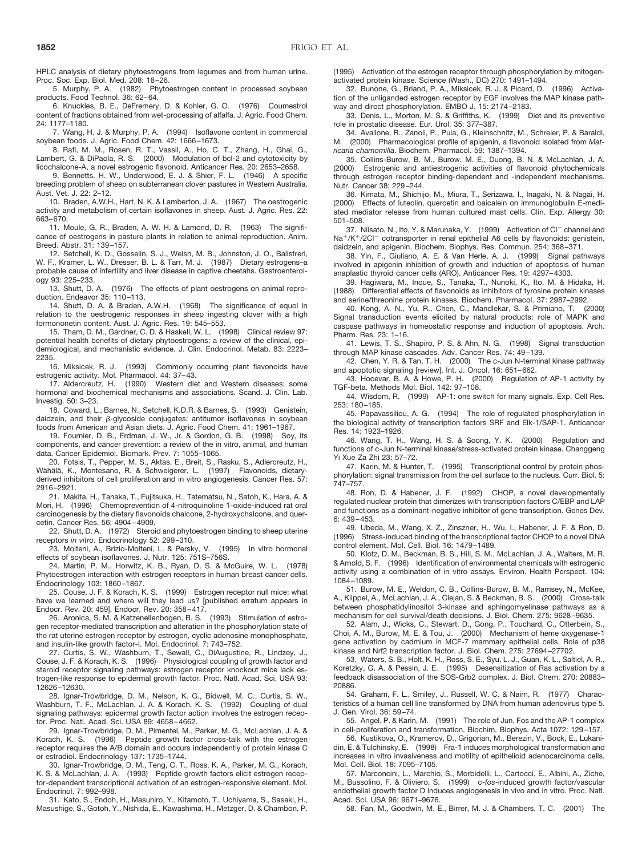HPLC analysis of dietary phytoestrogens from legumes and from human urine. Proc. Soc. Exp. Biol. Med. 208: 18–26.

5. Murphy, P. A. (1982) Phytoestrogen content in processed soybean products. Food Technol. 36: 62–64.

6. Knuckles, B. E., DeFremery, D. & Kohler, G. O. (1976) Coumestrol content of fractions obtained from wet-processing of alfalfa. J. Agric. Food Chem. 24: 1177–1180.

7. Wang, H. J. & Murphy, P. A. (1994) Isoflavone content in commercial soybean foods. J. Agric. Food Chem. 42: 1666–1673.

8. Rafi, M. M., Rosen, R. T., Vassil, A., Ho, C. T., Zhang, H., Ghai, G., Lambert, G. & DiPaola, R. S. (2000) Modulation of bcl-2 and cytotoxicity by licochalcone-A, a novel estrogenic flavonoid. Anticancer Res. 20: 2653–2658.

9. Bennetts, H. W., Underwood, E. J. & Shier, F. L. (1946) A specific breeding problem of sheep on subterranean clover pastures in Western Australia. Aust. Vet. J. 22: 2–12.

10. Braden, A.W.H., Hart, N. K. & Lamberton, J. A. (1967) The oestrogenic activity and metabolism of certain isoflavones in sheep. Aust. J. Agric. Res. 22: 663–670.

11. Moule, G. R., Braden, A. W. H. & Lamond, D. R. (1963) The significance of oestrogens in pasture plants in relation to animal reproduction. Anim. Breed. Abstr. 31: 139–157.

12. Setchell, K. D., Gosselin, S. J., Welsh, M. B., Johnston, J. O., Balistreri, W. F., Kramer, L. W., Dresser, B. L. & Tarr, M. J. (1987) Dietary estrogens–a probable cause of infertility and liver disease in captive cheetahs. Gastroenterology 93: 225–233.

13. Shutt, D. A. (1976) The effects of plant oestrogens on animal reproduction. Endeavor 35: 110–113.

14. Shutt, D. A. & Braden, A.W.H. (1968) The significance of equol in relation to the oestrogenic responses in sheep ingesting clover with a high formononetin content. Aust. J. Agric. Res. 19: 545–553.

15. Tham, D. M., Gardner, C. D. & Haskell, W. L. (1998) Clinical review 97: potential health benefits of dietary phytoestrogens: a review of the clinical, epidemiological, and mechanistic evidence. J. Clin. Endocrinol. Metab. 83: 2223– 2235.

16. Miksicek, R. J. (1993) Commonly occurring plant flavonoids have estrogenic activity. Mol. Pharmacol. 44: 37–43.

17. Aldercreutz, H. (1990) Western diet and Western diseases: some hormonal and biochemical mechanisms and associations. Scand. J. Clin. Lab. Investig. 50: 3–23.

18. Coward, L., Barnes, N., Setchell, K.D.R. & Barnes, S. (1993) Genistein, daidzein, and their  $\beta$ -glycoside conjugates: antitumor isoflavones in soybean foods from American and Asian diets. J. Agric. Food Chem. 41: 1961–1967.

19. Fournier, D. B., Erdman, J. W., Jr. & Gordon, G. B. (1998) Soy, its components, and cancer prevention: a review of the in vitro, animal, and human data. Cancer Epidemiol. Biomark. Prev. 7: 1055–1065.

20. Fotsis, T., Pepper, M. S., Aktas, E., Breit, S., Rasku, S., Adlercreutz, H., Wähälä, K., Montesano, R. & Schweigerer, L. (1997) Flavonoids, dietaryderived inhibitors of cell proliferation and in vitro angiogenesis. Cancer Res. 57: 2916–2921.

21. Makita, H., Tanaka, T., Fujitsuka, H., Tatematsu, N., Satoh, K., Hara, A. & Mori, H. (1996) Chemoprevention of 4-nitroquinoline 1-oxide-induced rat oral carcinogenesis by the dietary flavonoids chalcone, 2-hydroxychalcone, and quercetin. Cancer Res. 56: 4904–4909.

22. Shutt, D. A. (1972) Steroid and phytoestrogen binding to sheep uterine receptors *in vitro*. Endocrinology 52: 299–310.

23. Molteni, A., Brizio-Molteni, L. & Persky, V. (1995) In vitro hormonal effects of soybean isoflavones. J. Nutr. 125: 751S–756S.

24. Martin, P. M., Horwitz, K. B., Ryan, D. S. & McGuire, W. L. (1978) Phytoestrogen interaction with estrogen receptors in human breast cancer cells. Endocrinology 103: 1860–1867.

25. Couse, J. F. & Korach, K. S. (1999) Estrogen receptor null mice: what have we learned and where will they lead us? [published erratum appears in Endocr. Rev. 20: 459]. Endocr. Rev. 20: 358–417.

26. Aronica, S. M. & Katzenellenbogen, B. S. (1993) Stimulation of estrogen receptor-mediated transcription and alteration in the phosphorylation state of the rat uterine estrogen receptor by estrogen, cyclic adenosine monophosphate, and insulin-like growth factor-I. Mol. Endocrinol. 7: 743–752.

27. Curtis, S. W., Washburn, T., Sewall, C., DiAugustine, R., Lindzey, J. Couse, J. F. & Korach, K. S. (1996) Physiological coupling of growth factor and steroid receptor signaling pathways: estrogen receptor knockout mice lack estrogen-like response to epidermal growth factor. Proc. Natl. Acad. Sci. USA 93: 12626–12630.

28. Ignar-Trowbridge, D. M., Nelson, K. G., Bidwell, M. C., Curtis, S. W., Washburn, T. F., McLachlan, J. A. & Korach, K. S. (1992) Coupling of dual signaling pathways: epidermal growth factor action involves the estrogen receptor. Proc. Natl. Acad. Sci. USA 89: 4658–4662.

29. Ignar-Trowbridge, D. M., Pimentel, M., Parker, M. G., McLachlan, J. A. & Korach, K. S. (1996) Peptide growth factor cross-talk with the estrogen receptor requires the A/B domain and occurs independently of protein kinase C or estradiol. Endocrinology 137: 1735–1744.

30. Ignar-Trowbridge, D. M., Teng, C. T., Ross, K. A., Parker, M. G., Korach, K. S. & McLachlan, J. A. (1993) Peptide growth factors elicit estrogen receptor-dependent transcriptional activation of an estrogen-responsive element. Mol. Endocrinol. 7: 992–998.

31. Kato, S., Endoh, H., Masuhiro, Y., Kitamoto, T., Uchiyama, S., Sasaki, H., Masushige, S., Gotoh, Y., Nishida, E., Kawashima, H., Metzger, D. & Chambon, P. (1995) Activation of the estrogen receptor through phosphorylation by mitogenactivated protein kinase. Science (Wash., DC) 270: 1491–1494.

32. Bunone, G., Briand, P. A., Miksicek, R. J. & Picard, D. (1996) Activation of the unliganded estrogen receptor by EGF involves the MAP kinase pathway and direct phosphorylation. EMBO J. 15: 2174–2183.

33. Denis, L., Morton, M. S. & Griffiths, K. (1999) Diet and its preventive role in prostatic disease. Eur. Urol. 35: 377–387.

34. Avallone, R., Zanoli, P., Puia, G., Kleinschnitz, M., Schreier, P. & Baraldi, M. (2000) Pharmacological profile of apigenin, a flavonoid isolated from *Matricaria chamomilla*. Biochem. Pharmacol. 59: 1387–1394.

35. Collins-Burow, B. M., Burow, M. E., Duong, B. N. & McLachlan, J. A. (2000) Estrogenic and antiestrogenic activities of flavonoid phytochemicals through estrogen receptor binding-dependent and -independent mechanisms. Nutr. Cancer 38: 229–244.

36. Kimata, M., Shichijo, M., Miura, T., Serizawa, I., Inagaki, N. & Nagai, H. (2000) Effects of luteolin, quercetin and baicalein on immunoglobulin E-mediated mediator release from human cultured mast cells. Clin. Exp. Allergy 30: 501–508.

37. Niisato, N., Ito, Y. & Marunaka, Y. (1999) Activation of Cl<sup>-</sup> channel and Na<sup>+</sup>/K<sup>+</sup>/2Cl<sup>-</sup> cotransporter in renal epithelial A6 cells by flavonoids: genistein, daidzein, and apigenin. Biochem. Biophys. Res. Commun. 254: 368–371.

38. Yin, F., Giuliano, A. E. & Van Herle, A. J. (1999) Signal pathways involved in apigenin inhibition of growth and induction of apoptosis of human anaplastic thyroid cancer cells (ARO). Anticancer Res. 19: 4297–4303.

39. Hagiwara, M., Inoue, S., Tanaka, T., Nunoki, K., Ito, M. & Hidaka, H. (1988) Differential effects of flavonoids as inhibitors of tyrosine protein kinases and serine/threonine protein kinases. Biochem. Pharmacol. 37: 2987–2992.

40. Kong, A. N., Yu, R., Chen, C., Mandlekar, S. & Primiano, T. Signal transduction events elicited by natural products: role of MAPK and caspase pathways in homeostatic response and induction of apoptosis. Arch. Pharm. Res. 23: 1–16.

41. Lewis, T. S., Shapiro, P. S. & Ahn, N. G. (1998) Signal transduction through MAP kinase cascades. Adv. Cancer Res. 74: 49–139.

42. Chen, Y. R. & Tan, T. H. (2000) The c-Jun N-terminal kinase pathway and apoptotic signaling [review]. Int. J. Oncol. 16: 651–662.

43. Hocevar, B. A. & Howe, P. H. (2000) Regulation of AP-1 activity by TGF-beta. Methods Mol. Biol. 142: 97–108.

44. Wisdom, R. (1999) AP-1: one switch for many signals. Exp. Cell Res. 253: 180–185.

45. Papavassiliou, A. G. (1994) The role of regulated phosphorylation in the biological activity of transcription factors SRF and Elk-1/SAP-1. Anticancer Res. 14: 1923–1926.

46. Wang, T. H., Wang, H. S. & Soong, Y. K. (2000) Regulation and functions of c-Jun N-terminal kinase/stress-activated protein kinase. Changgeng Yi Xue Za Zhi 23: 57–72.

47. Karin, M. & Hunter, T. (1995) Transcriptional control by protein phosphorylation: signal transmission from the cell surface to the nucleus. Curr. Biol. 5: 747–757.

48. Ron, D. & Habener, J. F. (1992) CHOP, a novel developmentally regulated nuclear protein that dimerizes with transcription factors C/EBP and LAP and functions as a dominant-negative inhibitor of gene transcription. Genes Dev. 6: 439–453.

49. Ubeda, M., Wang, X. Z., Zinszner, H., Wu, I., Habener, J. F. & Ron, D. (1996) Stress-induced binding of the transcriptional factor CHOP to a novel DNA control element. Mol. Cell. Biol. 16: 1479–1489.

50. Klotz, D. M., Beckman, B. S., Hill, S. M., McLachlan, J. A., Walters, M. R. & Arnold, S. F. (1996) Identification of environmental chemicals with estrogenic activity using a combination of in vitro assays. Environ. Health Perspect. 104: 1084–1089.

51. Burow, M. E., Weldon, C. B., Collins-Burow, B. M., Ramsey, N., McKee, A., Klippel, A., McLachlan, J. A., Clejan, S. & Beckman, B. S. (2000) Cross-talk between phosphatidylinositol 3-kinase and sphingomyelinase pathways as a mechanism for cell survival/death decisions. J. Biol. Chem. 275: 9628–9635.

52. Alam, J., Wicks, C., Stewart, D., Gong, P., Touchard, C., Otterbein, S., Choi, A. M., Burow, M. E. & Tou, J. (2000) Mechanism of heme oxygenase-1 gene activation by cadmium in MCF-7 mammary epithelial cells. Role of p38 kinase and Nrf2 transcription factor. J. Biol. Chem. 275: 27694–27702.

53. Waters, S. B., Holt, K. H., Ross, S. E., Syu, L. J., Guan, K. L., Saltiel, A. R., Koretzky, G. A. & Pessin, J. E. (1995) Desensitization of Ras activation by a feedback disassociation of the SOS-Grb2 complex. J. Biol. Chem. 270: 20883– 20886.

54. Graham, F. L., Smiley, J., Russell, W. C. & Nairn, R. (1977) Characteristics of a human cell line transformed by DNA from human adenovirus type 5. J. Gen. Virol. 36: 59–74.

55. Angel, P. & Karin, M. (1991) The role of Jun, Fos and the AP-1 complex in cell-proliferation and transformation. Biochim. Biophys. Acta 1072: 129–157.

56. Kustikova, O., Kramerov, D., Grigorian, M., Berezin, V., Bock, E., Lukanidin, E. & Tulchinsky, E. (1998) Fra-1 induces morphological transformation and increases in vitro invasiveness and motility of epithelioid adenocarcinoma cells. Mol. Cell. Biol. 18: 7095–7105.

57. Marconcini, L., Marchio, S., Morbidelli, L., Cartocci, E., Albini, A., Ziche, M., Bussolino, F. & Oliviero, S. (1999) c-*fos*-induced growth factor/vascular endothelial growth factor D induces angiogenesis in vivo and in vitro. Proc. Natl. Acad. Sci. USA 96: 9671–9676.

58. Fan, M., Goodwin, M. E., Birrer, M. J. & Chambers, T. C. (2001) The